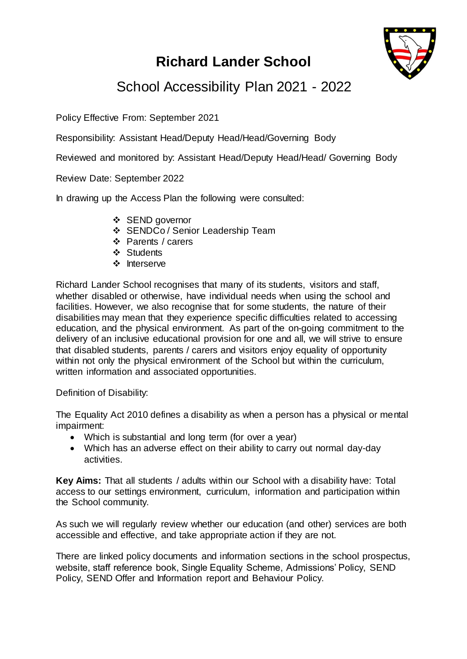# **Richard Lander School**



## School Accessibility Plan 2021 - 2022

Policy Effective From: September 2021

Responsibility: Assistant Head/Deputy Head/Head/Governing Body

Reviewed and monitored by: Assistant Head/Deputy Head/Head/ Governing Body

Review Date: September 2022

In drawing up the Access Plan the following were consulted:

- SEND governor
- SENDCo / Senior Leadership Team
- Parents / carers
- **❖** Students
- ❖ Interserve

Richard Lander School recognises that many of its students, visitors and staff, whether disabled or otherwise, have individual needs when using the school and facilities. However, we also recognise that for some students, the nature of their disabilities may mean that they experience specific difficulties related to accessing education, and the physical environment. As part of the on-going commitment to the delivery of an inclusive educational provision for one and all, we will strive to ensure that disabled students, parents / carers and visitors enjoy equality of opportunity within not only the physical environment of the School but within the curriculum, written information and associated opportunities.

Definition of Disability:

The Equality Act 2010 defines a disability as when a person has a physical or mental impairment:

- Which is substantial and long term (for over a year)
- Which has an adverse effect on their ability to carry out normal day-day activities.

**Key Aims:** That all students / adults within our School with a disability have: Total access to our settings environment, curriculum, information and participation within the School community.

As such we will regularly review whether our education (and other) services are both accessible and effective, and take appropriate action if they are not.

There are linked policy documents and information sections in the school prospectus, website, staff reference book, Single Equality Scheme, Admissions' Policy, SEND Policy, SEND Offer and Information report and Behaviour Policy.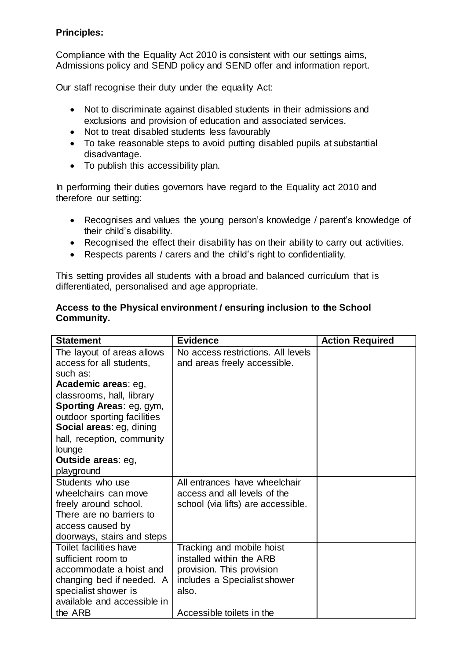#### **Principles:**

Compliance with the Equality Act 2010 is consistent with our settings aims, Admissions policy and SEND policy and SEND offer and information report.

Our staff recognise their duty under the equality Act:

- Not to discriminate against disabled students in their admissions and exclusions and provision of education and associated services.
- Not to treat disabled students less favourably
- To take reasonable steps to avoid putting disabled pupils at substantial disadvantage.
- To publish this accessibility plan.

In performing their duties governors have regard to the Equality act 2010 and therefore our setting:

- Recognises and values the young person's knowledge / parent's knowledge of their child's disability.
- Recognised the effect their disability has on their ability to carry out activities.
- Respects parents / carers and the child's right to confidentiality.

This setting provides all students with a broad and balanced curriculum that is differentiated, personalised and age appropriate.

#### **Access to the Physical environment / ensuring inclusion to the School Community.**

| <b>Statement</b>              | <b>Evidence</b>                    | <b>Action Required</b> |
|-------------------------------|------------------------------------|------------------------|
| The layout of areas allows    | No access restrictions. All levels |                        |
| access for all students,      | and areas freely accessible.       |                        |
| such as:                      |                                    |                        |
| Academic areas: eg,           |                                    |                        |
| classrooms, hall, library     |                                    |                        |
| Sporting Areas: eg, gym,      |                                    |                        |
| outdoor sporting facilities   |                                    |                        |
| Social areas: eg, dining      |                                    |                        |
| hall, reception, community    |                                    |                        |
| lounge                        |                                    |                        |
| <b>Outside areas: eg,</b>     |                                    |                        |
| playground                    |                                    |                        |
| Students who use              | All entrances have wheelchair      |                        |
| wheelchairs can move          | access and all levels of the       |                        |
| freely around school.         | school (via lifts) are accessible. |                        |
| There are no barriers to      |                                    |                        |
| access caused by              |                                    |                        |
| doorways, stairs and steps    |                                    |                        |
| <b>Toilet facilities have</b> | Tracking and mobile hoist          |                        |
| sufficient room to            | installed within the ARB           |                        |
| accommodate a hoist and       | provision. This provision          |                        |
| changing bed if needed. A     | includes a Specialist shower       |                        |
| specialist shower is          | also.                              |                        |
| available and accessible in   |                                    |                        |
| the ARB                       | Accessible toilets in the          |                        |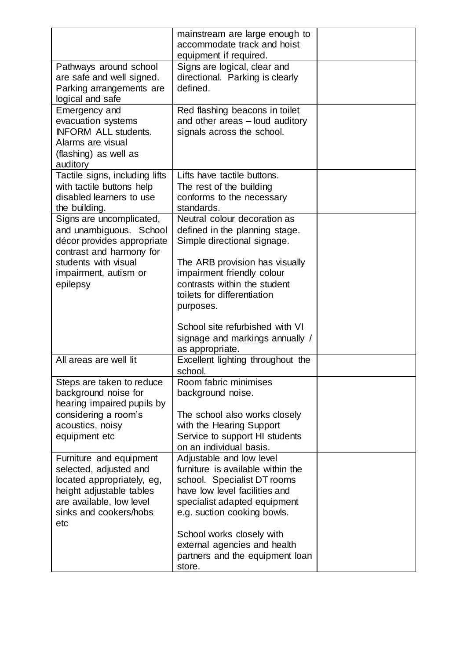|                                                                                                                                                                            | mainstream are large enough to<br>accommodate track and hoist<br>equipment if required.                                                                                                                                                                                                      |  |
|----------------------------------------------------------------------------------------------------------------------------------------------------------------------------|----------------------------------------------------------------------------------------------------------------------------------------------------------------------------------------------------------------------------------------------------------------------------------------------|--|
| Pathways around school<br>are safe and well signed.<br>Parking arrangements are<br>logical and safe                                                                        | Signs are logical, clear and<br>directional. Parking is clearly<br>defined.                                                                                                                                                                                                                  |  |
| Emergency and<br>evacuation systems<br><b>INFORM ALL students.</b><br>Alarms are visual<br>(flashing) as well as<br>auditory                                               | Red flashing beacons in toilet<br>and other areas - loud auditory<br>signals across the school.                                                                                                                                                                                              |  |
| Tactile signs, including lifts<br>with tactile buttons help<br>disabled learners to use<br>the building.                                                                   | Lifts have tactile buttons.<br>The rest of the building<br>conforms to the necessary<br>standards.                                                                                                                                                                                           |  |
| Signs are uncomplicated,<br>and unambiguous. School<br>décor provides appropriate<br>contrast and harmony for<br>students with visual<br>impairment, autism or<br>epilepsy | Neutral colour decoration as<br>defined in the planning stage.<br>Simple directional signage.<br>The ARB provision has visually<br>impairment friendly colour<br>contrasts within the student<br>toilets for differentiation<br>purposes.                                                    |  |
|                                                                                                                                                                            | School site refurbished with VI<br>signage and markings annually /<br>as appropriate.                                                                                                                                                                                                        |  |
| All areas are well lit                                                                                                                                                     | Excellent lighting throughout the<br>school.                                                                                                                                                                                                                                                 |  |
| Steps are taken to reduce<br>background noise for<br>hearing impaired pupils by<br>considering a room's<br>acoustics, noisy<br>equipment etc                               | Room fabric minimises<br>background noise.<br>The school also works closely<br>with the Hearing Support<br>Service to support HI students<br>on an individual basis.                                                                                                                         |  |
| Furniture and equipment<br>selected, adjusted and<br>located appropriately, eg,<br>height adjustable tables<br>are available, low level<br>sinks and cookers/hobs<br>etc   | Adjustable and low level<br>furniture is available within the<br>school. Specialist DT rooms<br>have low level facilities and<br>specialist adapted equipment<br>e.g. suction cooking bowls.<br>School works closely with<br>external agencies and health<br>partners and the equipment loan |  |
|                                                                                                                                                                            | store.                                                                                                                                                                                                                                                                                       |  |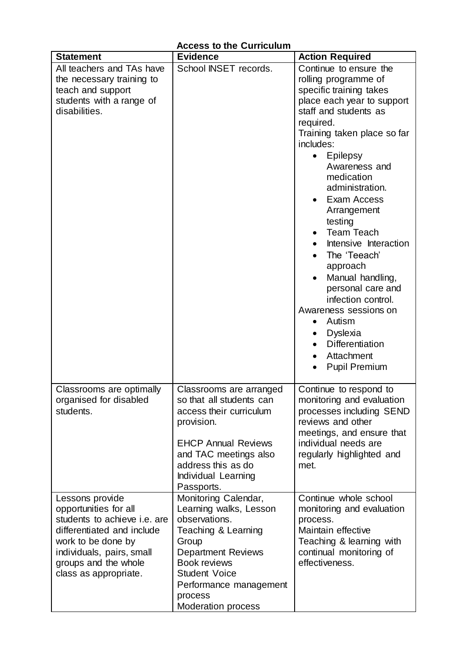| <b>Statement</b>                                                                                                                                                                                           | <b>Evidence</b>                                                                                                                                                                                                                               | <b>Action Required</b>                                                                                                                                                                                                                                                                                                                                                                                                                                                                                                                                                                                        |
|------------------------------------------------------------------------------------------------------------------------------------------------------------------------------------------------------------|-----------------------------------------------------------------------------------------------------------------------------------------------------------------------------------------------------------------------------------------------|---------------------------------------------------------------------------------------------------------------------------------------------------------------------------------------------------------------------------------------------------------------------------------------------------------------------------------------------------------------------------------------------------------------------------------------------------------------------------------------------------------------------------------------------------------------------------------------------------------------|
| All teachers and TAs have<br>the necessary training to<br>teach and support<br>students with a range of<br>disabilities.                                                                                   | School INSET records.                                                                                                                                                                                                                         | Continue to ensure the<br>rolling programme of<br>specific training takes<br>place each year to support<br>staff and students as<br>required.<br>Training taken place so far<br>includes:<br><b>Epilepsy</b><br>$\bullet$<br>Awareness and<br>medication<br>administration.<br>Exam Access<br>Arrangement<br>testing<br><b>Team Teach</b><br>Intensive Interaction<br>The 'Teeach'<br>approach<br>Manual handling,<br>personal care and<br>infection control.<br>Awareness sessions on<br>Autism<br>$\bullet$<br><b>Dyslexia</b><br><b>Differentiation</b><br>Attachment<br><b>Pupil Premium</b><br>$\bullet$ |
| Classrooms are optimally<br>organised for disabled<br>students.                                                                                                                                            | Classrooms are arranged<br>so that all students can<br>access their curriculum<br>provision.<br><b>EHCP Annual Reviews</b><br>and TAC meetings also<br>address this as do<br>Individual Learning<br>Passports.                                | Continue to respond to<br>monitoring and evaluation<br>processes including SEND<br>reviews and other<br>meetings, and ensure that<br>individual needs are<br>regularly highlighted and<br>met.                                                                                                                                                                                                                                                                                                                                                                                                                |
| Lessons provide<br>opportunities for all<br>students to achieve i.e. are<br>differentiated and include<br>work to be done by<br>individuals, pairs, small<br>groups and the whole<br>class as appropriate. | Monitoring Calendar,<br>Learning walks, Lesson<br>observations.<br>Teaching & Learning<br>Group<br><b>Department Reviews</b><br><b>Book reviews</b><br><b>Student Voice</b><br>Performance management<br>process<br><b>Moderation process</b> | Continue whole school<br>monitoring and evaluation<br>process.<br>Maintain effective<br>Teaching & learning with<br>continual monitoring of<br>effectiveness.                                                                                                                                                                                                                                                                                                                                                                                                                                                 |

#### **Access to the Curriculum**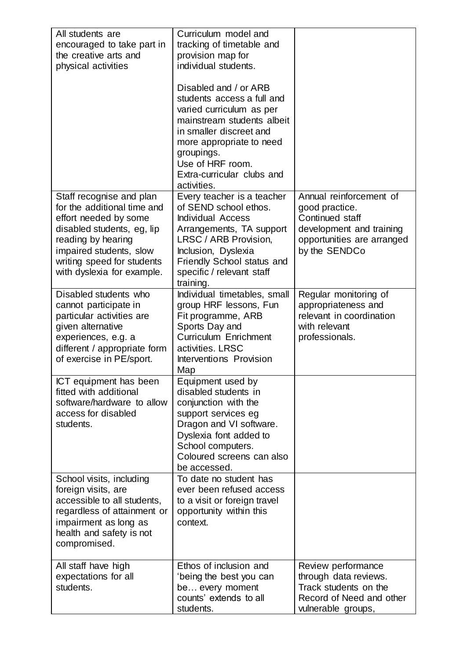| All students are<br>encouraged to take part in<br>the creative arts and<br>physical activities                                                                                                                              | Curriculum model and<br>tracking of timetable and<br>provision map for<br>individual students.<br>Disabled and / or ARB<br>students access a full and<br>varied curriculum as per<br>mainstream students albeit<br>in smaller discreet and<br>more appropriate to need<br>groupings.<br>Use of HRF room.<br>Extra-curricular clubs and<br>activities. |                                                                                                                                         |
|-----------------------------------------------------------------------------------------------------------------------------------------------------------------------------------------------------------------------------|-------------------------------------------------------------------------------------------------------------------------------------------------------------------------------------------------------------------------------------------------------------------------------------------------------------------------------------------------------|-----------------------------------------------------------------------------------------------------------------------------------------|
| Staff recognise and plan<br>for the additional time and<br>effort needed by some<br>disabled students, eg, lip<br>reading by hearing<br>impaired students, slow<br>writing speed for students<br>with dyslexia for example. | Every teacher is a teacher<br>of SEND school ethos.<br><b>Individual Access</b><br>Arrangements, TA support<br>LRSC / ARB Provision,<br>Inclusion, Dyslexia<br><b>Friendly School status and</b><br>specific / relevant staff<br>training.                                                                                                            | Annual reinforcement of<br>good practice.<br>Continued staff<br>development and training<br>opportunities are arranged<br>by the SENDCo |
| Disabled students who<br>cannot participate in<br>particular activities are<br>given alternative<br>experiences, e.g. a<br>different / appropriate form<br>of exercise in PE/sport.                                         | Individual timetables, small<br>group HRF lessons, Fun<br>Fit programme, ARB<br>Sports Day and<br><b>Curriculum Enrichment</b><br>activities. LRSC<br>Interventions Provision<br>Map                                                                                                                                                                  | Regular monitoring of<br>appropriateness and<br>relevant in coordination<br>with relevant<br>professionals.                             |
| ICT equipment has been<br>fitted with additional<br>software/hardware to allow<br>access for disabled<br>students.                                                                                                          | Equipment used by<br>disabled students in<br>conjunction with the<br>support services eg<br>Dragon and VI software.<br>Dyslexia font added to<br>School computers.<br>Coloured screens can also<br>be accessed.                                                                                                                                       |                                                                                                                                         |
| School visits, including<br>foreign visits, are<br>accessible to all students,<br>regardless of attainment or<br>impairment as long as<br>health and safety is not<br>compromised.                                          | To date no student has<br>ever been refused access<br>to a visit or foreign travel<br>opportunity within this<br>context.                                                                                                                                                                                                                             |                                                                                                                                         |
| All staff have high<br>expectations for all<br>students.                                                                                                                                                                    | Ethos of inclusion and<br>'being the best you can<br>be every moment<br>counts' extends to all<br>students.                                                                                                                                                                                                                                           | Review performance<br>through data reviews.<br>Track students on the<br>Record of Need and other<br>vulnerable groups,                  |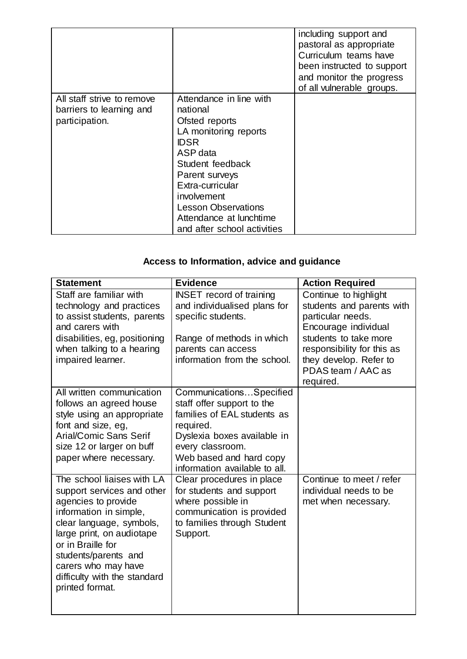|                                                                          |                                                                                                                                                                                                                                                                            | including support and<br>pastoral as appropriate<br>Curriculum teams have<br>been instructed to support<br>and monitor the progress<br>of all vulnerable groups. |
|--------------------------------------------------------------------------|----------------------------------------------------------------------------------------------------------------------------------------------------------------------------------------------------------------------------------------------------------------------------|------------------------------------------------------------------------------------------------------------------------------------------------------------------|
| All staff strive to remove<br>barriers to learning and<br>participation. | Attendance in line with<br>national<br>Ofsted reports<br>LA monitoring reports<br><b>IDSR</b><br>ASP data<br>Student feedback<br>Parent surveys<br>Extra-curricular<br>involvement<br><b>Lesson Observations</b><br>Attendance at lunchtime<br>and after school activities |                                                                                                                                                                  |

## **Access to Information, advice and guidance**

| <b>Statement</b>                                                                                                                                                                                                                                                                          | <b>Evidence</b>                                                                                                                                                                                                  | <b>Action Required</b>                                                                                                                                                                                 |
|-------------------------------------------------------------------------------------------------------------------------------------------------------------------------------------------------------------------------------------------------------------------------------------------|------------------------------------------------------------------------------------------------------------------------------------------------------------------------------------------------------------------|--------------------------------------------------------------------------------------------------------------------------------------------------------------------------------------------------------|
| Staff are familiar with<br>technology and practices<br>to assist students, parents<br>and carers with<br>disabilities, eg, positioning<br>when talking to a hearing<br>impaired learner.                                                                                                  | <b>INSET</b> record of training<br>and individualised plans for<br>specific students.<br>Range of methods in which<br>parents can access<br>information from the school.                                         | Continue to highlight<br>students and parents with<br>particular needs.<br>Encourage individual<br>students to take more<br>responsibility for this as<br>they develop. Refer to<br>PDAS team / AAC as |
| All written communication<br>follows an agreed house<br>style using an appropriate<br>font and size, eg,<br><b>Arial/Comic Sans Serif</b><br>size 12 or larger on buff<br>paper where necessary.                                                                                          | CommunicationsSpecified<br>staff offer support to the<br>families of EAL students as<br>required.<br>Dyslexia boxes available in<br>every classroom.<br>Web based and hard copy<br>information available to all. | required.                                                                                                                                                                                              |
| The school liaises with LA<br>support services and other<br>agencies to provide<br>information in simple,<br>clear language, symbols,<br>large print, on audiotape<br>or in Braille for<br>students/parents and<br>carers who may have<br>difficulty with the standard<br>printed format. | Clear procedures in place<br>for students and support<br>where possible in<br>communication is provided<br>to families through Student<br>Support.                                                               | Continue to meet / refer<br>individual needs to be<br>met when necessary.                                                                                                                              |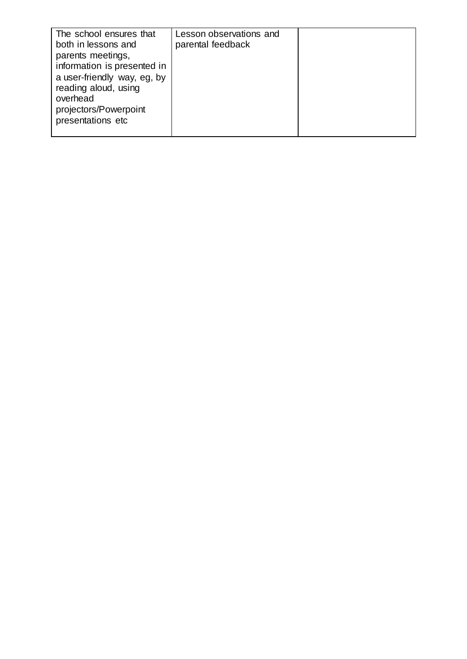| The school ensures that<br>both in lessons and<br>parents meetings,<br>information is presented in<br>a user-friendly way, eg, by<br>reading aloud, using<br>overhead<br>projectors/Powerpoint | Lesson observations and<br>parental feedback |  |
|------------------------------------------------------------------------------------------------------------------------------------------------------------------------------------------------|----------------------------------------------|--|
| presentations etc                                                                                                                                                                              |                                              |  |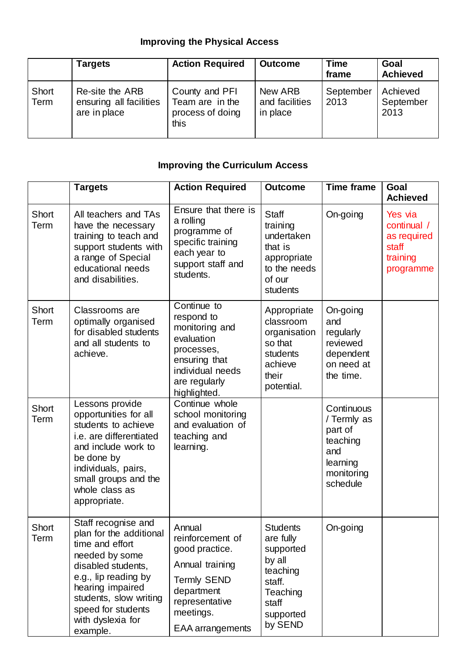## **Improving the Physical Access**

|                      | <b>Targets</b>                                             | <b>Action Required</b>                                        | <b>Outcome</b>                        | Time<br>frame     | Goal<br><b>Achieved</b>       |
|----------------------|------------------------------------------------------------|---------------------------------------------------------------|---------------------------------------|-------------------|-------------------------------|
| <b>Short</b><br>Term | Re-site the ARB<br>ensuring all facilities<br>are in place | County and PFI<br>Team are in the<br>process of doing<br>this | New ARB<br>and facilities<br>in place | September<br>2013 | Achieved<br>September<br>2013 |

## **Improving the Curriculum Access**

|               | <b>Targets</b>                                                                                                                                                                                                                         | <b>Action Required</b>                                                                                                                                        | <b>Outcome</b>                                                                                                         | <b>Time frame</b>                                                                             | Goal<br><b>Achieved</b>                                                 |
|---------------|----------------------------------------------------------------------------------------------------------------------------------------------------------------------------------------------------------------------------------------|---------------------------------------------------------------------------------------------------------------------------------------------------------------|------------------------------------------------------------------------------------------------------------------------|-----------------------------------------------------------------------------------------------|-------------------------------------------------------------------------|
| Short<br>Term | All teachers and TAs<br>have the necessary<br>training to teach and<br>support students with<br>a range of Special<br>educational needs<br>and disabilities.                                                                           | Ensure that there is<br>a rolling<br>programme of<br>specific training<br>each year to<br>support staff and<br>students.                                      | <b>Staff</b><br>training<br>undertaken<br>that is<br>appropriate<br>to the needs<br>of our<br>students                 | On-going                                                                                      | Yes via<br>continual /<br>as required<br>staff<br>training<br>programme |
| Short<br>Term | Classrooms are<br>optimally organised<br>for disabled students<br>and all students to<br>achieve.                                                                                                                                      | Continue to<br>respond to<br>monitoring and<br>evaluation<br>processes,<br>ensuring that<br>individual needs<br>are regularly<br>highlighted.                 | Appropriate<br>classroom<br>organisation<br>so that<br>students<br>achieve<br>their<br>potential.                      | On-going<br>and<br>regularly<br>reviewed<br>dependent<br>on need at<br>the time.              |                                                                         |
| Short<br>Term | Lessons provide<br>opportunities for all<br>students to achieve<br>i.e. are differentiated<br>and include work to<br>be done by<br>individuals, pairs,<br>small groups and the<br>whole class as<br>appropriate.                       | Continue whole<br>school monitoring<br>and evaluation of<br>teaching and<br>learning.                                                                         |                                                                                                                        | Continuous<br>/ Termly as<br>part of<br>teaching<br>and<br>learning<br>monitoring<br>schedule |                                                                         |
| Short<br>Term | Staff recognise and<br>plan for the additional<br>time and effort<br>needed by some<br>disabled students,<br>e.g., lip reading by<br>hearing impaired<br>students, slow writing<br>speed for students<br>with dyslexia for<br>example. | Annual<br>reinforcement of<br>good practice.<br>Annual training<br><b>Termly SEND</b><br>department<br>representative<br>meetings.<br><b>EAA</b> arrangements | <b>Students</b><br>are fully<br>supported<br>by all<br>teaching<br>staff.<br>Teaching<br>staff<br>supported<br>by SEND | On-going                                                                                      |                                                                         |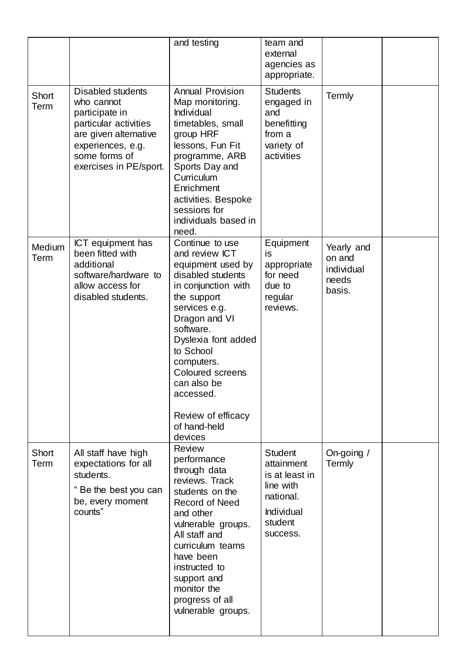|                |                                                                                                                                                                            | and testing                                                                                                                                                                                                                                                                                                                | team and<br>external<br>agencies as<br>appropriate.                                                           |                                                       |  |
|----------------|----------------------------------------------------------------------------------------------------------------------------------------------------------------------------|----------------------------------------------------------------------------------------------------------------------------------------------------------------------------------------------------------------------------------------------------------------------------------------------------------------------------|---------------------------------------------------------------------------------------------------------------|-------------------------------------------------------|--|
| Short<br>Term  | <b>Disabled students</b><br>who cannot<br>participate in<br>particular activities<br>are given alternative<br>experiences, e.g.<br>some forms of<br>exercises in PE/sport. | <b>Annual Provision</b><br>Map monitoring.<br>Individual<br>timetables, small<br>group HRF<br>lessons, Fun Fit<br>programme, ARB<br>Sports Day and<br>Curriculum<br>Enrichment<br>activities. Bespoke<br>sessions for<br>individuals based in<br>need.                                                                     | <b>Students</b><br>engaged in<br>and<br>benefitting<br>from a<br>variety of<br>activities                     | Termly                                                |  |
| Medium<br>Term | <b>ICT</b> equipment has<br>been fitted with<br>additional<br>software/hardware to<br>allow access for<br>disabled students.                                               | Continue to use<br>and review ICT<br>equipment used by<br>disabled students<br>in conjunction with<br>the support<br>services e.g.<br>Dragon and VI<br>software.<br>Dyslexia font added<br>to School<br>computers.<br><b>Coloured screens</b><br>can also be<br>accessed.<br>Review of efficacy<br>of hand-held<br>devices | Equipment<br>is<br>appropriate<br>for need<br>due to<br>regular<br>reviews.                                   | Yearly and<br>on and<br>individual<br>needs<br>basis. |  |
| Short<br>Term  | All staff have high<br>expectations for all<br>students.<br>Be the best you can<br>be, every moment<br>counts"                                                             | <b>Review</b><br>performance<br>through data<br>reviews. Track<br>students on the<br><b>Record of Need</b><br>and other<br>vulnerable groups.<br>All staff and<br>curriculum teams<br>have been<br>instructed to<br>support and<br>monitor the<br>progress of all<br>vulnerable groups.                                    | <b>Student</b><br>attainment<br>is at least in<br>line with<br>national.<br>Individual<br>student<br>success. | On-going /<br>Termly                                  |  |